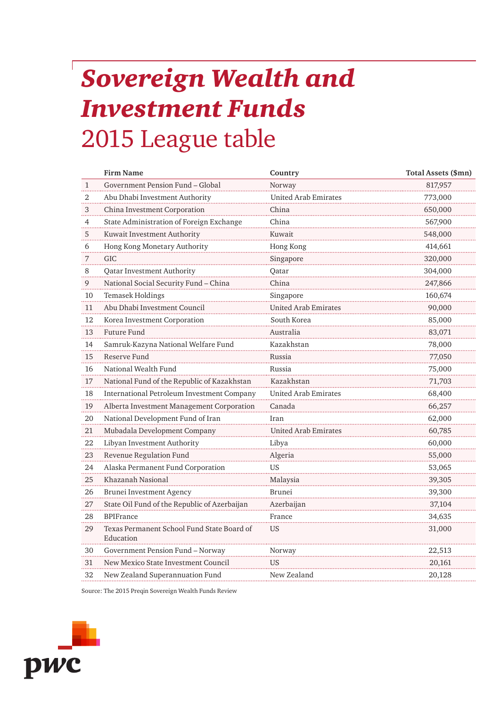## *Sovereign Wealth and Investment Funds* 2015 League table

|              | <b>Firm Name</b>                                        | Country                     | Total Assets (\$mn) |
|--------------|---------------------------------------------------------|-----------------------------|---------------------|
| $\mathbf{1}$ | Government Pension Fund - Global                        | Norway                      | 817,957             |
| 2            | Abu Dhabi Investment Authority                          | <b>United Arab Emirates</b> | 773,000             |
| 3            | China Investment Corporation                            | China                       | 650,000             |
| 4            | State Administration of Foreign Exchange                | China                       | 567,900             |
| 5            | Kuwait Investment Authority                             | Kuwait                      | 548,000             |
| 6            | Hong Kong Monetary Authority                            | Hong Kong                   | 414,661             |
| 7            | <b>GIC</b>                                              | Singapore                   | 320,000             |
| 8            | Qatar Investment Authority                              | Qatar                       | 304,000             |
| 9            | National Social Security Fund - China                   | China                       | 247,866             |
| 10           | Temasek Holdings                                        | Singapore                   | 160,674             |
| 11           | Abu Dhabi Investment Council                            | <b>United Arab Emirates</b> | 90,000              |
| 12           | Korea Investment Corporation                            | South Korea                 | 85,000              |
| 13           | Future Fund                                             | Australia                   | 83,071              |
| 14           | Samruk-Kazyna National Welfare Fund                     | Kazakhstan                  | 78,000              |
| 15           | Reserve Fund                                            | Russia                      | 77,050              |
| 16           | National Wealth Fund                                    | Russia                      | 75,000              |
| 17           | National Fund of the Republic of Kazakhstan             | Kazakhstan                  | 71,703              |
| 18           | International Petroleum Investment Company              | <b>United Arab Emirates</b> | 68,400              |
| 19           | Alberta Investment Management Corporation               | Canada                      | 66,257              |
| 20<br>.      | National Development Fund of Iran                       | Iran                        | 62,000              |
| 21           | Mubadala Development Company                            | <b>United Arab Emirates</b> | 60,785              |
| 22           | Libyan Investment Authority                             | Libya                       | 60,000              |
| 23           | Revenue Regulation Fund                                 | Algeria                     | 55,000              |
| 24           | Alaska Permanent Fund Corporation                       | <b>US</b>                   | 53,065              |
| 25           | Khazanah Nasional                                       | Malaysia                    | 39,305              |
| 26           | Brunei Investment Agency                                | Brunei                      | 39,300              |
| 27           | State Oil Fund of the Republic of Azerbaijan            | Azerbaijan                  | 37,104              |
| 28           | <b>BPIFrance</b>                                        | France                      | 34,635              |
| 29           | Texas Permanent School Fund State Board of<br>Education | <b>US</b>                   | 31,000              |
| 30           | Government Pension Fund - Norway                        | Norway                      | 22,513              |
| 31           | New Mexico State Investment Council                     | US                          | 20,161              |
| 32           | New Zealand Superannuation Fund                         | New Zealand                 | 20,128              |

Source: The 2015 Preqin Sovereign Wealth Funds Review